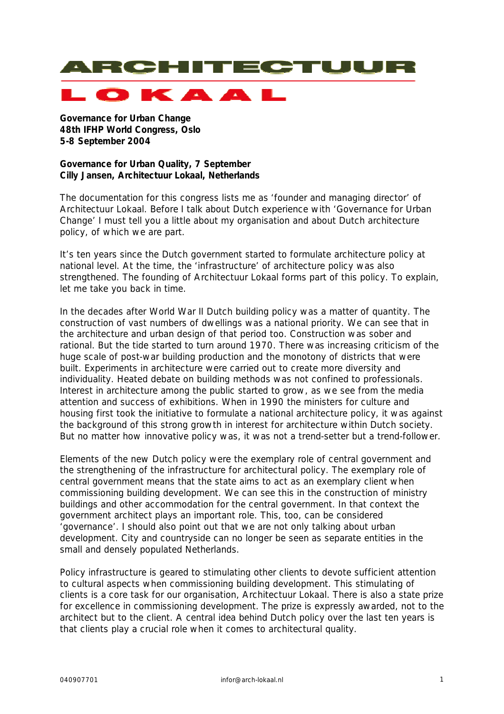

LOKAA

**Governance for Urban Change 48th IFHP World Congress, Oslo 5-8 September 2004**

## **Governance for Urban Quality, 7 September Cilly Jansen, Architectuur Lokaal, Netherlands**

The documentation for this congress lists me as 'founder and managing director' of Architectuur Lokaal. Before I talk about Dutch experience with 'Governance for Urban Change' I must tell you a little about my organisation and about Dutch architecture policy, of which we are part.

It's ten years since the Dutch government started to formulate architecture policy at national level. At the time, the 'infrastructure' of architecture policy was also strengthened. The founding of Architectuur Lokaal forms part of this policy. To explain, let me take you back in time.

In the decades after World War II Dutch building policy was a matter of quantity. The construction of vast numbers of dwellings was a national priority. We can see that in the architecture and urban design of that period too. Construction was sober and rational. But the tide started to turn around 1970. There was increasing criticism of the huge scale of post-war building production and the monotony of districts that were built. Experiments in architecture were carried out to create more diversity and individuality. Heated debate on building methods was not confined to professionals. Interest in architecture among the public started to grow, as we see from the media attention and success of exhibitions. When in 1990 the ministers for culture and housing first took the initiative to formulate a national architecture policy, it was against the background of this strong growth in interest for architecture within Dutch society. But no matter how innovative policy was, it was not a trend-setter but a trend-follower.

Elements of the new Dutch policy were the exemplary role of central government and the strengthening of the infrastructure for architectural policy. The exemplary role of central government means that the state aims to act as an exemplary client when commissioning building development. We can see this in the construction of ministry buildings and other accommodation for the central government. In that context the government architect plays an important role. This, too, can be considered 'governance'. I should also point out that we are not only talking about urban development. City and countryside can no longer be seen as separate entities in the small and densely populated Netherlands.

Policy infrastructure is geared to stimulating other clients to devote sufficient attention to cultural aspects when commissioning building development. This stimulating of clients is a core task for our organisation, Architectuur Lokaal. There is also a state prize for excellence in commissioning development. The prize is expressly awarded, not to the architect but to the client. A central idea behind Dutch policy over the last ten years is that clients play a crucial role when it comes to architectural quality.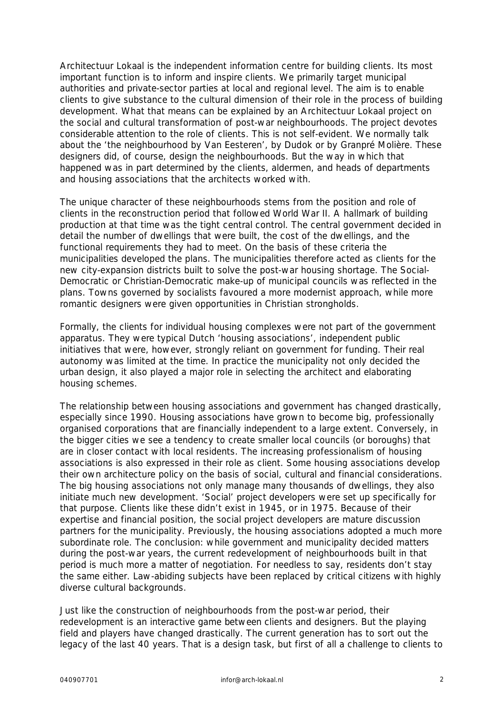Architectuur Lokaal is the independent information centre for building clients. Its most important function is to inform and inspire clients. We primarily target municipal authorities and private-sector parties at local and regional level. The aim is to enable clients to give substance to the cultural dimension of their role in the process of building development. What that means can be explained by an Architectuur Lokaal project on the social and cultural transformation of post-war neighbourhoods. The project devotes considerable attention to the role of clients. This is not self-evident. We normally talk about the 'the neighbourhood by Van Eesteren', by Dudok or by Granpré Molière. These designers did, of course, design the neighbourhoods. But the way in which that happened was in part determined by the clients, aldermen, and heads of departments and housing associations that the architects worked with.

The unique character of these neighbourhoods stems from the position and role of clients in the reconstruction period that followed World War II. A hallmark of building production at that time was the tight central control. The central government decided in detail the number of dwellings that were built, the cost of the dwellings, and the functional requirements they had to meet. On the basis of these criteria the municipalities developed the plans. The municipalities therefore acted as clients for the new city-expansion districts built to solve the post-war housing shortage. The Social-Democratic or Christian-Democratic make-up of municipal councils was reflected in the plans. Towns governed by socialists favoured a more modernist approach, while more romantic designers were given opportunities in Christian strongholds.

Formally, the clients for individual housing complexes were not part of the government apparatus. They were typical Dutch 'housing associations', independent public initiatives that were, however, strongly reliant on government for funding. Their real autonomy was limited at the time. In practice the municipality not only decided the urban design, it also played a major role in selecting the architect and elaborating housing schemes.

The relationship between housing associations and government has changed drastically, especially since 1990. Housing associations have grown to become big, professionally organised corporations that are financially independent to a large extent. Conversely, in the bigger cities we see a tendency to create smaller local councils (or boroughs) that are in closer contact with local residents. The increasing professionalism of housing associations is also expressed in their role as client. Some housing associations develop their own architecture policy on the basis of social, cultural and financial considerations. The big housing associations not only manage many thousands of dwellings, they also initiate much new development. 'Social' project developers were set up specifically for that purpose. Clients like these didn't exist in 1945, or in 1975. Because of their expertise and financial position, the social project developers are mature discussion partners for the municipality. Previously, the housing associations adopted a much more subordinate role. The conclusion: while government and municipality decided matters during the post-war years, the current redevelopment of neighbourhoods built in that period is much more a matter of negotiation. For needless to say, residents don't stay the same either. Law-abiding subjects have been replaced by critical citizens with highly diverse cultural backgrounds.

Just like the construction of neighbourhoods from the post-war period, their redevelopment is an interactive game between clients and designers. But the playing field and players have changed drastically. The current generation has to sort out the legacy of the last 40 years. That is a design task, but first of all a challenge to clients to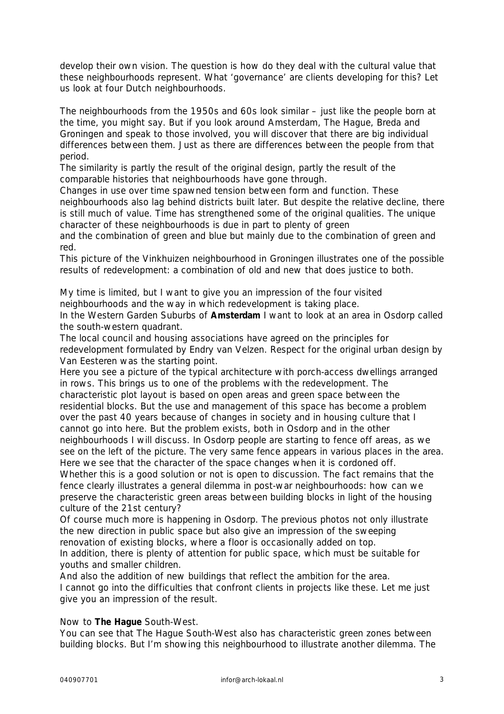develop their own vision. The question is how do they deal with the cultural value that these neighbourhoods represent. What 'governance' are clients developing for this? Let us look at four Dutch neighbourhoods.

The neighbourhoods from the 1950s and 60s look similar – just like the people born at the time, you might say. But if you look around Amsterdam, The Hague, Breda and Groningen and speak to those involved, you will discover that there are big individual differences between them. Just as there are differences between the people from that period.

The similarity is partly the result of the original design, partly the result of the comparable histories that neighbourhoods have gone through.

Changes in use over time spawned tension between form and function. These neighbourhoods also lag behind districts built later. But despite the relative decline, there is still much of value. Time has strengthened some of the original qualities. The unique character of these neighbourhoods is due in part to plenty of green

and the combination of green and blue but mainly due to the combination of green and red.

This picture of the Vinkhuizen neighbourhood in Groningen illustrates one of the possible results of redevelopment: a combination of old and new that does justice to both.

My time is limited, but I want to give you an impression of the four visited neighbourhoods and the way in which redevelopment is taking place.

In the Western Garden Suburbs of **Amsterdam** I want to look at an area in Osdorp called the south-western quadrant.

The local council and housing associations have agreed on the principles for redevelopment formulated by Endry van Velzen. Respect for the original urban design by Van Eesteren was the starting point.

Here you see a picture of the typical architecture with porch-access dwellings arranged in rows. This brings us to one of the problems with the redevelopment. The characteristic plot layout is based on open areas and green space between the residential blocks. But the use and management of this space has become a problem over the past 40 years because of changes in society and in housing culture that I cannot go into here. But the problem exists, both in Osdorp and in the other neighbourhoods I will discuss. In Osdorp people are starting to fence off areas, as we see on the left of the picture. The very same fence appears in various places in the area. Here we see that the character of the space changes when it is cordoned off. Whether this is a good solution or not is open to discussion. The fact remains that the

fence clearly illustrates a general dilemma in post-war neighbourhoods: how can we preserve the characteristic green areas between building blocks in light of the housing culture of the 21st century?

Of course much more is happening in Osdorp. The previous photos not only illustrate the new direction in public space but also give an impression of the sweeping renovation of existing blocks, where a floor is occasionally added on top. In addition, there is plenty of attention for public space, which must be suitable for youths and smaller children.

And also the addition of new buildings that reflect the ambition for the area. I cannot go into the difficulties that confront clients in projects like these. Let me just give you an impression of the result.

## Now to **The Hague** South-West.

You can see that The Hague South-West also has characteristic green zones between building blocks. But I'm showing this neighbourhood to illustrate another dilemma. The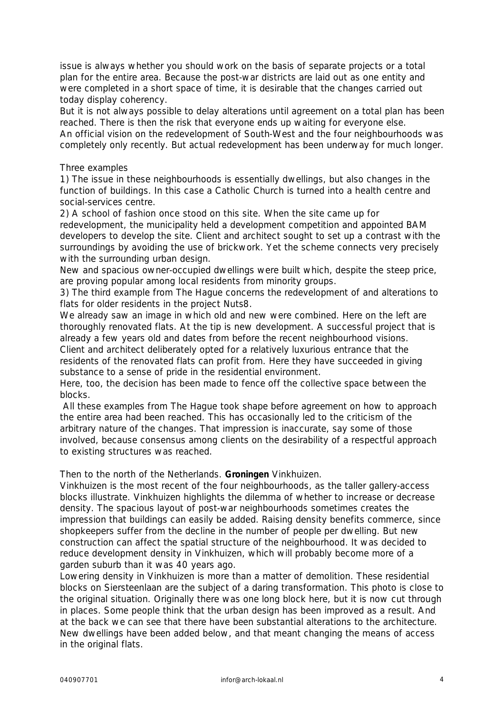issue is always whether you should work on the basis of separate projects or a total plan for the entire area. Because the post-war districts are laid out as one entity and were completed in a short space of time, it is desirable that the changes carried out today display coherency.

But it is not always possible to delay alterations until agreement on a total plan has been reached. There is then the risk that everyone ends up waiting for everyone else.

An official vision on the redevelopment of South-West and the four neighbourhoods was completely only recently. But actual redevelopment has been underway for much longer.

## Three examples

1) The issue in these neighbourhoods is essentially dwellings, but also changes in the function of buildings. In this case a Catholic Church is turned into a health centre and social-services centre.

2) A school of fashion once stood on this site. When the site came up for

redevelopment, the municipality held a development competition and appointed BAM developers to develop the site. Client and architect sought to set up a contrast with the surroundings by avoiding the use of brickwork. Yet the scheme connects very precisely with the surrounding urban design.

New and spacious owner-occupied dwellings were built which, despite the steep price, are proving popular among local residents from minority groups.

3) The third example from The Hague concerns the redevelopment of and alterations to flats for older residents in the project Nuts8.

We already saw an image in which old and new were combined. Here on the left are thoroughly renovated flats. At the tip is new development. A successful project that is already a few years old and dates from before the recent neighbourhood visions. Client and architect deliberately opted for a relatively luxurious entrance that the residents of the renovated flats can profit from. Here they have succeeded in giving substance to a sense of pride in the residential environment.

Here, too, the decision has been made to fence off the collective space between the blocks.

 All these examples from The Hague took shape before agreement on how to approach the entire area had been reached. This has occasionally led to the criticism of the arbitrary nature of the changes. That impression is inaccurate, say some of those involved, because consensus among clients on the desirability of a respectful approach to existing structures was reached.

Then to the north of the Netherlands. **Groningen** Vinkhuizen.

Vinkhuizen is the most recent of the four neighbourhoods, as the taller gallery-access blocks illustrate. Vinkhuizen highlights the dilemma of whether to increase or decrease density. The spacious layout of post-war neighbourhoods sometimes creates the impression that buildings can easily be added. Raising density benefits commerce, since shopkeepers suffer from the decline in the number of people per dwelling. But new construction can affect the spatial structure of the neighbourhood. It was decided to reduce development density in Vinkhuizen, which will probably become more of a garden suburb than it was 40 years ago.

Lowering density in Vinkhuizen is more than a matter of demolition. These residential blocks on Siersteenlaan are the subject of a daring transformation. This photo is close to the original situation. Originally there was one long block here, but it is now cut through in places. Some people think that the urban design has been improved as a result. And at the back we can see that there have been substantial alterations to the architecture. New dwellings have been added below, and that meant changing the means of access in the original flats.